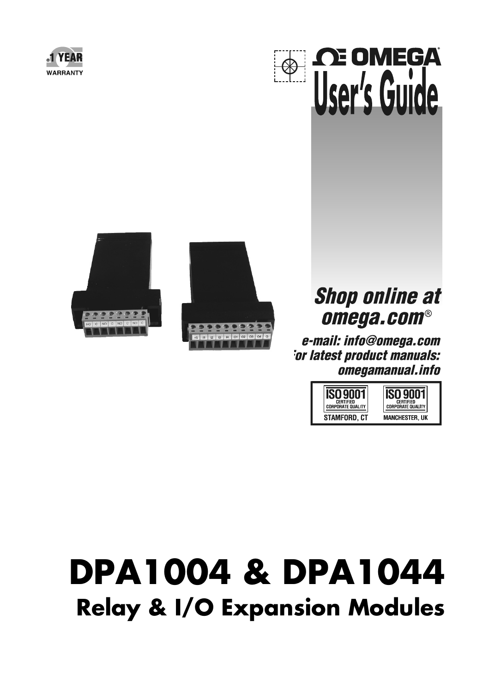







# **Shop online at** omega.com®

e-mail: info@omega.com *<u>For latest product manuals:</u>* omegamanual.info



# **DPA1004 & DPA1044 Relay & I/O Expansion Modules**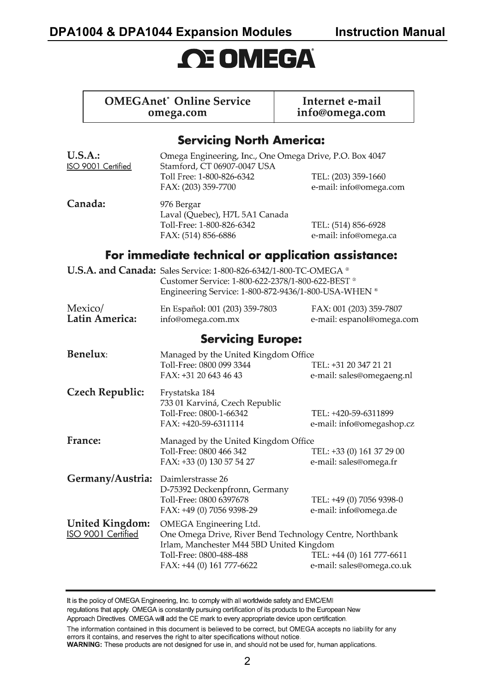### **DPA1004 & DPA1044 Expansion Modules Instruction Manual**

# **OE OMEGA**

#### **OMEGAnet** Online Service omega.com

Internet e-mail info@omega.com

#### **Servicina North America:**

| U.S.A.<br>ISO 9001 Certified                 | Omega Engineering, Inc., One Omega Drive, P.O. Box 4047<br>Stamford, CT 06907-0047 USA<br>Toll Free: 1-800-826-6342<br>TEL: (203) 359-1660<br>FAX: (203) 359-7700<br>e-mail: info@omega.com                                                      |                                                      |
|----------------------------------------------|--------------------------------------------------------------------------------------------------------------------------------------------------------------------------------------------------------------------------------------------------|------------------------------------------------------|
| Canada:                                      | 976 Bergar<br>Laval (Quebec), H7L 5A1 Canada<br>Toll-Free: 1-800-826-6342<br>FAX: (514) 856-6886                                                                                                                                                 | TEL: (514) 856-6928<br>e-mail: info@omega.ca         |
|                                              | For immediate technical or application assistance:                                                                                                                                                                                               |                                                      |
|                                              | U.S.A. and Canada: Sales Service: 1-800-826-6342/1-800-TC-OMEGA ®<br>Customer Service: 1-800-622-2378/1-800-622-BEST ®<br>Engineering Service: 1-800-872-9436/1-800-USA-WHEN ®                                                                   |                                                      |
| Mexico/<br>Latin America:                    | En Español: 001 (203) 359-7803<br>info@omega.com.mx                                                                                                                                                                                              | FAX: 001 (203) 359-7807<br>e-mail: espanol@omega.com |
| <b>Servicing Europe:</b>                     |                                                                                                                                                                                                                                                  |                                                      |
| Benelux:                                     | Managed by the United Kingdom Office<br>Toll-Free: 0800 099 3344<br>FAX: +31 20 643 46 43                                                                                                                                                        | TEL: +31 20 347 21 21<br>e-mail: sales@omegaeng.nl   |
| Czech Republic:                              | Frystatska 184<br>733 01 Karviná, Czech Republic<br>Toll-Free: 0800-1-66342<br>FAX: +420-59-6311114                                                                                                                                              | TEL: +420-59-6311899<br>e-mail: info@omegashop.cz    |
| France:                                      | Managed by the United Kingdom Office<br>Toll-Free: 0800 466 342<br>TEL: +33 (0) 161 37 29 00<br>FAX: +33 (0) 130 57 54 27<br>e-mail: sales@omega.fr                                                                                              |                                                      |
| Germany/Austria:                             | Daimlerstrasse 26<br>D-75392 Deckenpfronn, Germany<br>Toll-Free: 0800 6397678<br>TEL: +49 (0) 7056 9398-0<br>FAX: +49 (0) 7056 9398-29<br>e-mail: info@omega.de                                                                                  |                                                      |
| <b>United Kingdom:</b><br>ISO 9001 Certified | OMEGA Engineering Ltd.<br>One Omega Drive, River Bend Technology Centre, Northbank<br>Irlam, Manchester M44 5BD United Kingdom<br>Toll-Free: 0800-488-488<br>TEL: +44 (0) 161 777-6611<br>FAX: +44 (0) 161 777-6622<br>e-mail: sales@omega.co.uk |                                                      |

It is the policy of OMEGA Engineering, Inc. to comply with all worldwide safety and EMC/EMI regulations that apply. OMEGA is constantly pursuing certification of its products to the European New Approach Directives. OMEGA will add the CE mark to every appropriate device upon certification.

The information contained in this document is believed to be correct, but OMEGA accepts no liability for any errors it contains, and reserves the right to alter specifications without notice.

WARNING: These products are not designed for use in, and should not be used for, human applications.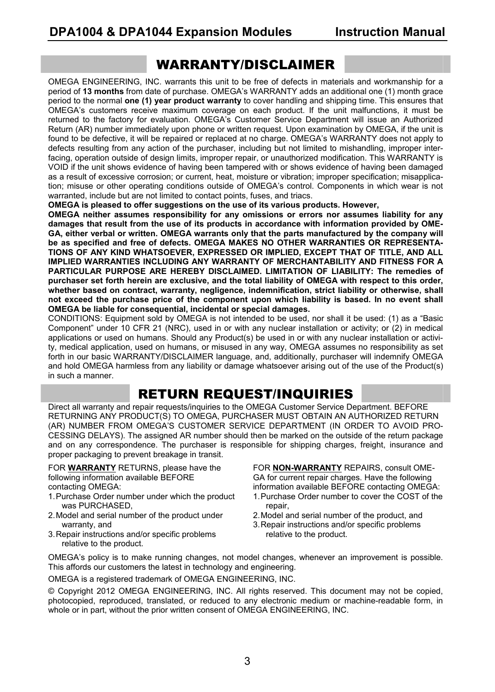#### WARRANTY/DISCLAIMER

OMEGA ENGINEERING, INC. warrants this unit to be free of defects in materials and workmanship for a period of **13 months** from date of purchase. OMEGA's WARRANTY adds an additional one (1) month grace period to the normal **one (1) year product warranty** to cover handling and shipping time. This ensures that OMEGA's customers receive maximum coverage on each product. If the unit malfunctions, it must be returned to the factory for evaluation. OMEGA's Customer Service Department will issue an Authorized Return (AR) number immediately upon phone or written request. Upon examination by OMEGA, if the unit is found to be defective, it will be repaired or replaced at no charge. OMEGA's WARRANTY does not apply to defects resulting from any action of the purchaser, including but not limited to mishandling, improper interfacing, operation outside of design limits, improper repair, or unauthorized modification. This WARRANTY is VOID if the unit shows evidence of having been tampered with or shows evidence of having been damaged as a result of excessive corrosion; or current, heat, moisture or vibration; improper specification; misapplication; misuse or other operating conditions outside of OMEGA's control. Components in which wear is not warranted, include but are not limited to contact points, fuses, and triacs.

**OMEGA is pleased to offer suggestions on the use of its various products. However,** 

**OMEGA neither assumes responsibility for any omissions or errors nor assumes liability for any damages that result from the use of its products in accordance with information provided by OME-GA, either verbal or written. OMEGA warrants only that the parts manufactured by the company will be as specified and free of defects. OMEGA MAKES NO OTHER WARRANTIES OR REPRESENTA-TIONS OF ANY KIND WHATSOEVER, EXPRESSED OR IMPLIED, EXCEPT THAT OF TITLE, AND ALL IMPLIED WARRANTIES INCLUDING ANY WARRANTY OF MERCHANTABILITY AND FITNESS FOR A PARTICULAR PURPOSE ARE HEREBY DISCLAIMED. LIMITATION OF LIABILITY: The remedies of purchaser set forth herein are exclusive, and the total liability of OMEGA with respect to this order, whether based on contract, warranty, negligence, indemnification, strict liability or otherwise, shall not exceed the purchase price of the component upon which liability is based. In no event shall OMEGA be liable for consequential, incidental or special damages.** 

CONDITIONS: Equipment sold by OMEGA is not intended to be used, nor shall it be used: (1) as a "Basic Component" under 10 CFR 21 (NRC), used in or with any nuclear installation or activity; or (2) in medical applications or used on humans. Should any Product(s) be used in or with any nuclear installation or activity, medical application, used on humans, or misused in any way, OMEGA assumes no responsibility as set forth in our basic WARRANTY/DISCLAIMER language, and, additionally, purchaser will indemnify OMEGA and hold OMEGA harmless from any liability or damage whatsoever arising out of the use of the Product(s) in such a manner.

### RETURN REQUEST/INQUIRIES

Direct all warranty and repair requests/inquiries to the OMEGA Customer Service Department. BEFORE RETURNING ANY PRODUCT(S) TO OMEGA, PURCHASER MUST OBTAIN AN AUTHORIZED RETURN (AR) NUMBER FROM OMEGA'S CUSTOMER SERVICE DEPARTMENT (IN ORDER TO AVOID PRO-CESSING DELAYS). The assigned AR number should then be marked on the outside of the return package and on any correspondence. The purchaser is responsible for shipping charges, freight, insurance and proper packaging to prevent breakage in transit.

FOR **WARRANTY** RETURNS, please have the following information available BEFORE contacting OMEGA:

- 1. Purchase Order number under which the product was PURCHASED,
- 2. Model and serial number of the product under warranty, and
- 3. Repair instructions and/or specific problems relative to the product.

FOR **NON-WARRANTY** REPAIRS, consult OME-GA for current repair charges. Have the following information available BEFORE contacting OMEGA: 1. Purchase Order number to cover the COST of the

- repair,
- 2. Model and serial number of the product, and
- 3. Repair instructions and/or specific problems relative to the product.

OMEGA's policy is to make running changes, not model changes, whenever an improvement is possible. This affords our customers the latest in technology and engineering.

OMEGA is a registered trademark of OMEGA ENGINEERING, INC.

© Copyright 2012 OMEGA ENGINEERING, INC. All rights reserved. This document may not be copied, photocopied, reproduced, translated, or reduced to any electronic medium or machine-readable form, in whole or in part, without the prior written consent of OMEGA ENGINEERING, INC.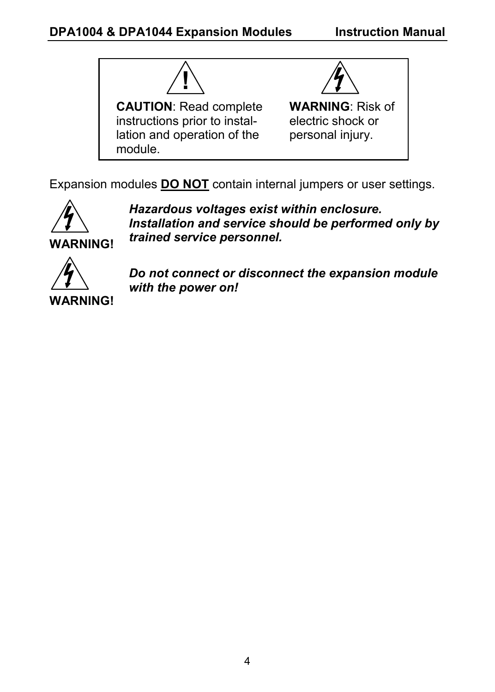

Expansion modules **DO NOT** contain internal jumpers or user settings.



*Hazardous voltages exist within enclosure. Installation and service should be performed only by trained service personnel.* 



*Do not connect or disconnect the expansion module with the power on!*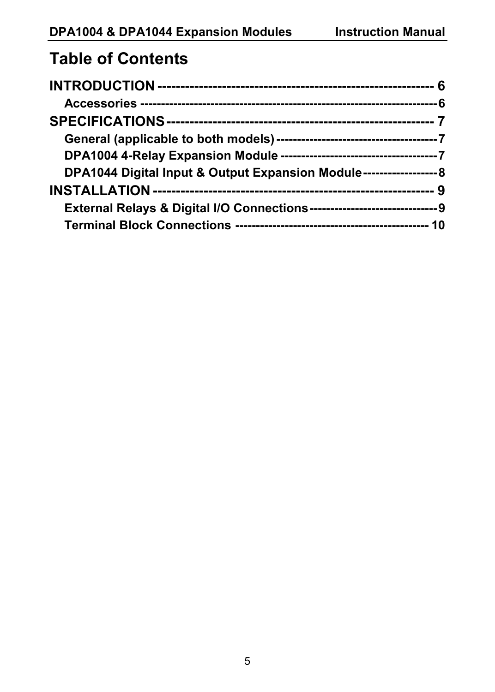### **Table of Contents**

| DPA1044 Digital Input & Output Expansion Module---------------------- 8 |  |
|-------------------------------------------------------------------------|--|
|                                                                         |  |
|                                                                         |  |
|                                                                         |  |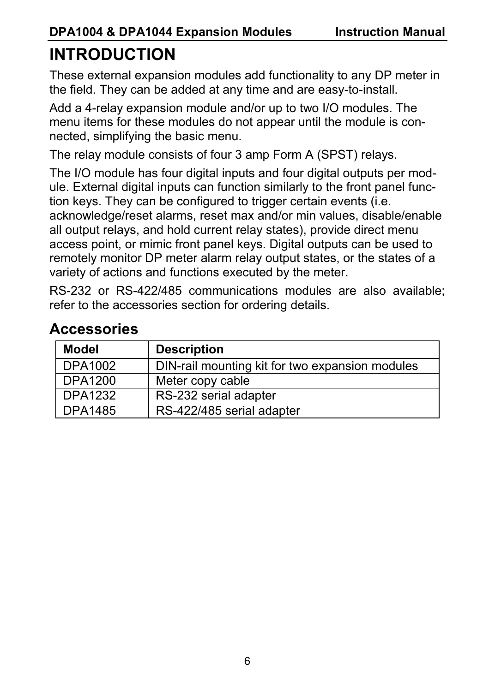# **INTRODUCTION**

These external expansion modules add functionality to any DP meter in the field. They can be added at any time and are easy-to-install.

Add a 4-relay expansion module and/or up to two I/O modules. The menu items for these modules do not appear until the module is connected, simplifying the basic menu.

The relay module consists of four 3 amp Form A (SPST) relays.

The I/O module has four digital inputs and four digital outputs per module. External digital inputs can function similarly to the front panel function keys. They can be configured to trigger certain events (i.e. acknowledge/reset alarms, reset max and/or min values, disable/enable all output relays, and hold current relay states), provide direct menu access point, or mimic front panel keys. Digital outputs can be used to remotely monitor DP meter alarm relay output states, or the states of a variety of actions and functions executed by the meter.

RS-232 or RS-422/485 communications modules are also available; refer to the accessories section for ordering details.

| <b>Model</b>   | <b>Description</b>                              |
|----------------|-------------------------------------------------|
| DPA1002        | DIN-rail mounting kit for two expansion modules |
| DPA1200        | Meter copy cable                                |
| <b>DPA1232</b> | RS-232 serial adapter                           |
| <b>DPA1485</b> | RS-422/485 serial adapter                       |

### **Accessories**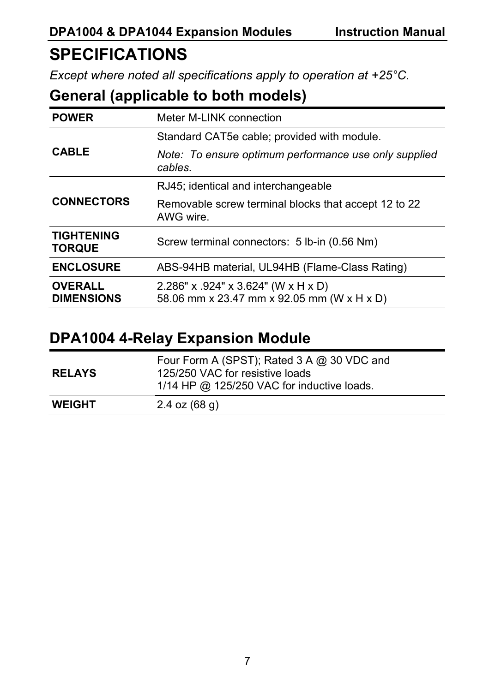### **SPECIFICATIONS**

*Except where noted all specifications apply to operation at +25°C.* 

### **General (applicable to both models)**

| <b>POWER</b>                        | Meter M-LINK connection                                                                 |  |
|-------------------------------------|-----------------------------------------------------------------------------------------|--|
| <b>CABLE</b>                        | Standard CAT5e cable; provided with module.                                             |  |
|                                     | Note: To ensure optimum performance use only supplied<br>cables                         |  |
| <b>CONNECTORS</b>                   | RJ45; identical and interchangeable                                                     |  |
|                                     | Removable screw terminal blocks that accept 12 to 22<br>AWG wire.                       |  |
| <b>TIGHTENING</b><br><b>TORQUE</b>  | Screw terminal connectors: 5 lb-in (0.56 Nm)                                            |  |
| <b>ENCLOSURE</b>                    | ABS-94HB material, UL94HB (Flame-Class Rating)                                          |  |
| <b>OVERALL</b><br><b>DIMENSIONS</b> | $2.286"$ x $.924"$ x $3.624"$ (W x H x D)<br>58.06 mm x 23.47 mm x 92.05 mm (W x H x D) |  |

### **DPA1004 4-Relay Expansion Module**

| <b>RELAYS</b> | Four Form A (SPST); Rated 3 A @ 30 VDC and<br>125/250 VAC for resistive loads<br>1/14 HP @ 125/250 VAC for inductive loads. |
|---------------|-----------------------------------------------------------------------------------------------------------------------------|
| <b>WEIGHT</b> | $2.4$ oz (68 g)                                                                                                             |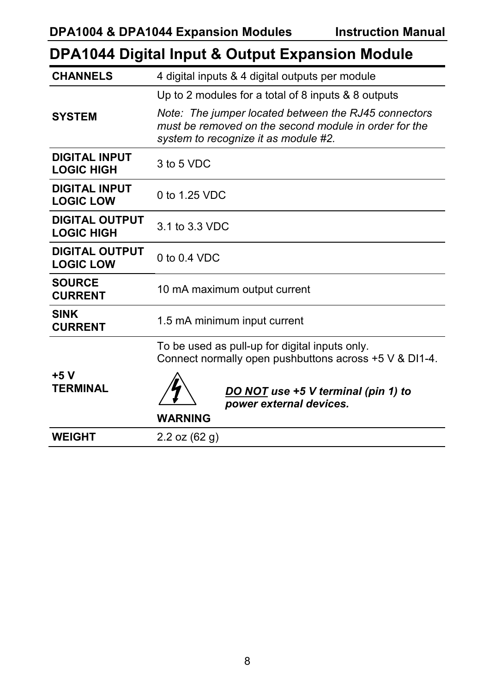|                                            | Dr A IV44 Dightar mput & Output Expansion Module                                                                                                      |  |
|--------------------------------------------|-------------------------------------------------------------------------------------------------------------------------------------------------------|--|
| <b>CHANNELS</b>                            | 4 digital inputs & 4 digital outputs per module                                                                                                       |  |
|                                            | Up to 2 modules for a total of 8 inputs & 8 outputs                                                                                                   |  |
| <b>SYSTEM</b>                              | Note: The jumper located between the RJ45 connectors<br>must be removed on the second module in order for the<br>system to recognize it as module #2. |  |
| <b>DIGITAL INPUT</b><br><b>LOGIC HIGH</b>  | 3 to 5 VDC                                                                                                                                            |  |
| <b>DIGITAL INPUT</b><br><b>LOGIC LOW</b>   | 0 to 1.25 VDC                                                                                                                                         |  |
| <b>DIGITAL OUTPUT</b><br><b>LOGIC HIGH</b> | 3.1 to 3.3 VDC                                                                                                                                        |  |
| <b>DIGITAL OUTPUT</b><br><b>LOGIC LOW</b>  | $0$ to $0.4$ VDC                                                                                                                                      |  |
| <b>SOURCE</b><br><b>CURRENT</b>            | 10 mA maximum output current                                                                                                                          |  |
| <b>SINK</b><br><b>CURRENT</b>              | 1.5 mA minimum input current                                                                                                                          |  |
|                                            | To be used as pull-up for digital inputs only.<br>Connect normally open pushbuttons across +5 V & DI1-4.                                              |  |
| +5 V<br><b>TERMINAL</b>                    | DO NOT use +5 V terminal (pin 1) to<br>power external devices.                                                                                        |  |
|                                            | <b>WARNING</b>                                                                                                                                        |  |
| <b>WEIGHT</b>                              | 2.2 oz $(62 g)$                                                                                                                                       |  |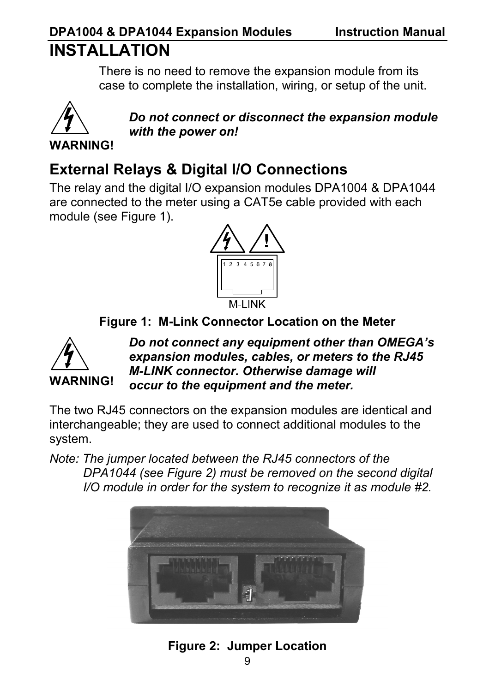# **DPA1004 & DPA1044 Expansion Modules Instruction Manual**

# **INSTALLATION**

There is no need to remove the expansion module from its case to complete the installation, wiring, or setup of the unit.



*Do not connect or disconnect the expansion module with the power on!* 

### **External Relays & Digital I/O Connections**

The relay and the digital I/O expansion modules DPA1004 & DPA1044 are connected to the meter using a CAT5e cable provided with each module (see Figure 1).



**Figure 1: M-Link Connector Location on the Meter** 



*Do not connect any equipment other than OMEGA's expansion modules, cables, or meters to the RJ45 M-LINK connector. Otherwise damage will occur to the equipment and the meter.* 

The two RJ45 connectors on the expansion modules are identical and interchangeable; they are used to connect additional modules to the system.

*Note: The jumper located between the RJ45 connectors of the DPA1044 (see Figure 2) must be removed on the second digital I/O module in order for the system to recognize it as module #2.* 



**Figure 2: Jumper Location**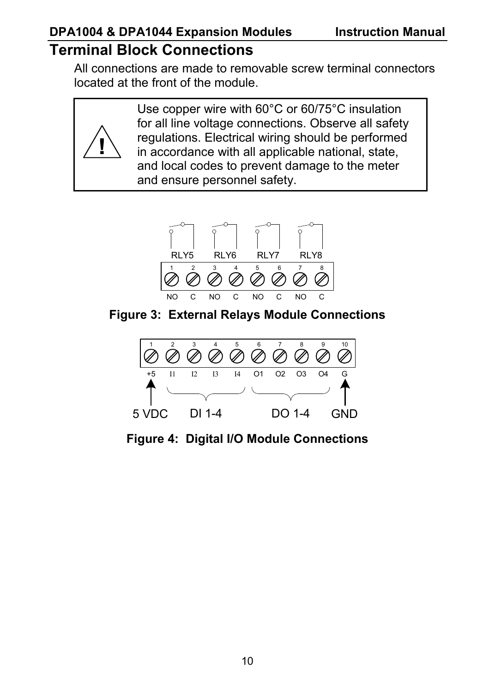### **DPA1004 & DPA1044 Expansion Modules Instruction Manual**

### **Terminal Block Connections**

**!**

All connections are made to removable screw terminal connectors located at the front of the module.

> Use copper wire with 60°C or 60/75°C insulation for all line voltage connections. Observe all safety regulations. Electrical wiring should be performed in accordance with all applicable national, state, and local codes to prevent damage to the meter and ensure personnel safety.



**Figure 3: External Relays Module Connections** 



**Figure 4: Digital I/O Module Connections**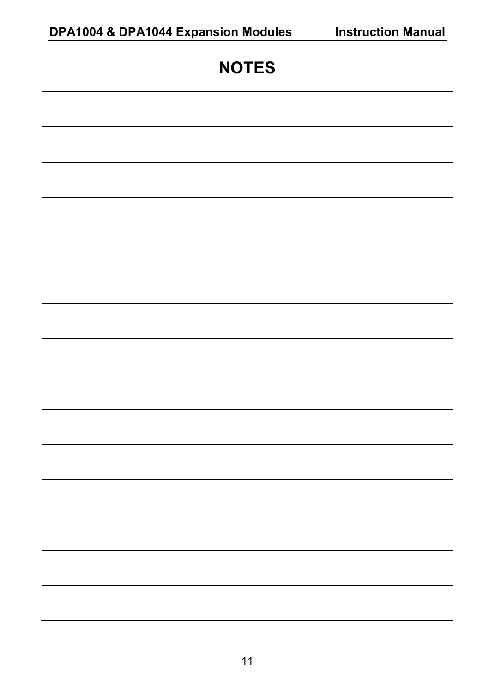| <b>NOTES</b> |
|--------------|
|              |
|              |
|              |
|              |
|              |
|              |
|              |
|              |
|              |
|              |
|              |
|              |
|              |
|              |
|              |